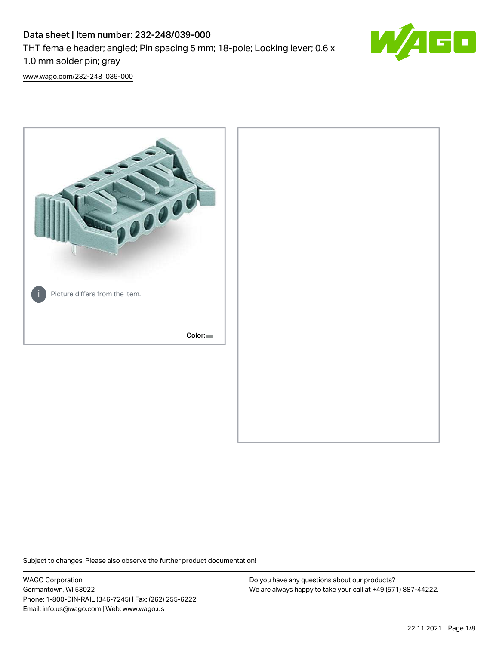# Data sheet | Item number: 232-248/039-000 THT female header; angled; Pin spacing 5 mm; 18-pole; Locking lever; 0.6 x 1.0 mm solder pin; gray



[www.wago.com/232-248\\_039-000](http://www.wago.com/232-248_039-000)



Subject to changes. Please also observe the further product documentation!

WAGO Corporation Germantown, WI 53022 Phone: 1-800-DIN-RAIL (346-7245) | Fax: (262) 255-6222 Email: info.us@wago.com | Web: www.wago.us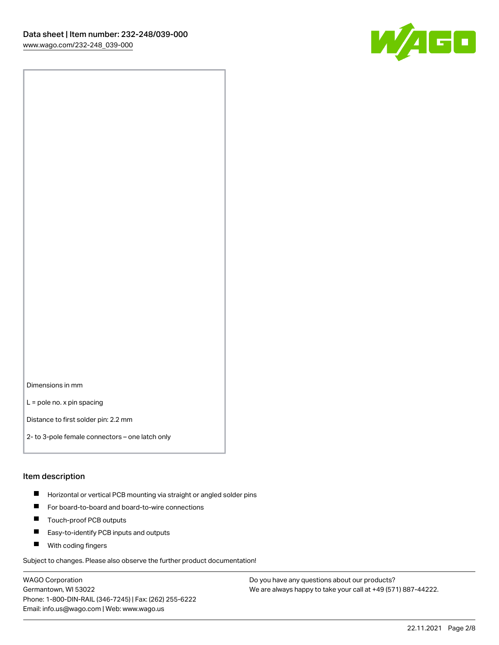

Dimensions in mm

L = pole no. x pin spacing

Distance to first solder pin: 2.2 mm

2- to 3-pole female connectors – one latch only

#### Item description

- **Horizontal or vertical PCB mounting via straight or angled solder pins**
- For board-to-board and board-to-wire connections
- $\blacksquare$ Touch-proof PCB outputs
- $\blacksquare$ Easy-to-identify PCB inputs and outputs
- **Now With coding fingers**

Subject to changes. Please also observe the further product documentation!

WAGO Corporation Germantown, WI 53022 Phone: 1-800-DIN-RAIL (346-7245) | Fax: (262) 255-6222 Email: info.us@wago.com | Web: www.wago.us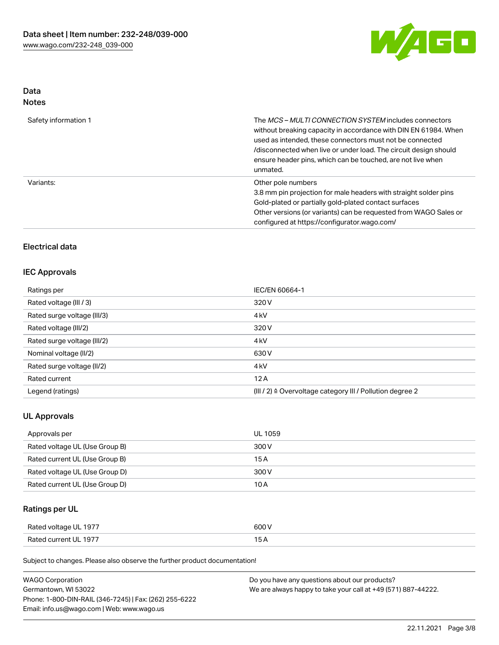

# Data

| Safety information 1 | The <i>MCS – MULTI CONNECTION SYSTEM</i> includes connectors<br>without breaking capacity in accordance with DIN EN 61984. When<br>used as intended, these connectors must not be connected<br>/disconnected when live or under load. The circuit design should<br>ensure header pins, which can be touched, are not live when<br>unmated. |
|----------------------|--------------------------------------------------------------------------------------------------------------------------------------------------------------------------------------------------------------------------------------------------------------------------------------------------------------------------------------------|
| Variants:            | Other pole numbers<br>3.8 mm pin projection for male headers with straight solder pins<br>Gold-plated or partially gold-plated contact surfaces<br>Other versions (or variants) can be requested from WAGO Sales or<br>configured at https://configurator.wago.com/                                                                        |

## Electrical data

#### IEC Approvals

| Ratings per                 | IEC/EN 60664-1                                                       |
|-----------------------------|----------------------------------------------------------------------|
| Rated voltage (III / 3)     | 320 V                                                                |
| Rated surge voltage (III/3) | 4 <sub>k</sub> V                                                     |
| Rated voltage (III/2)       | 320 V                                                                |
| Rated surge voltage (III/2) | 4 <sub>k</sub> V                                                     |
| Nominal voltage (II/2)      | 630 V                                                                |
| Rated surge voltage (II/2)  | 4 <sub>k</sub> V                                                     |
| Rated current               | 12A                                                                  |
| Legend (ratings)            | (III / 2) $\triangleq$ Overvoltage category III / Pollution degree 2 |

#### UL Approvals

| Approvals per                  | UL 1059 |
|--------------------------------|---------|
| Rated voltage UL (Use Group B) | 300 V   |
| Rated current UL (Use Group B) | 15 A    |
| Rated voltage UL (Use Group D) | 300 V   |
| Rated current UL (Use Group D) | 10 A    |

## Ratings per UL

| Rated voltage UL 1977 | 600 V |
|-----------------------|-------|
| Rated current UL 1977 |       |

Subject to changes. Please also observe the further product documentation!

| <b>WAGO Corporation</b>                                | Do you have any questions about our products?                 |
|--------------------------------------------------------|---------------------------------------------------------------|
| Germantown, WI 53022                                   | We are always happy to take your call at +49 (571) 887-44222. |
| Phone: 1-800-DIN-RAIL (346-7245)   Fax: (262) 255-6222 |                                                               |
| Email: info.us@wago.com   Web: www.wago.us             |                                                               |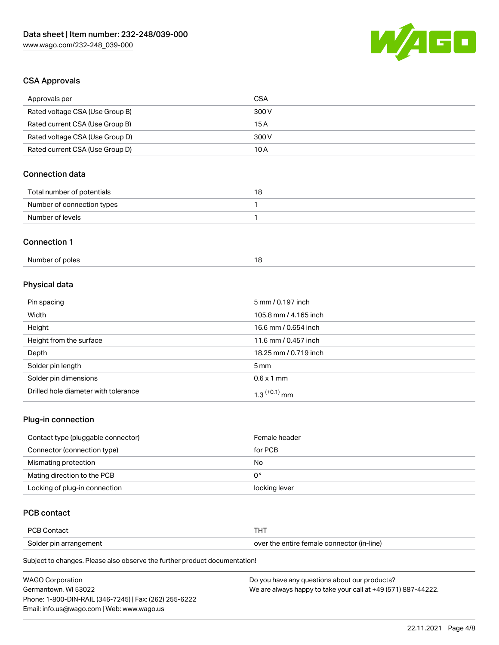

## CSA Approvals

| Approvals per                   | <b>CSA</b>            |
|---------------------------------|-----------------------|
| Rated voltage CSA (Use Group B) | 300V                  |
| Rated current CSA (Use Group B) | 15A                   |
| Rated voltage CSA (Use Group D) | 300 V                 |
| Rated current CSA (Use Group D) | 10A                   |
| <b>Connection data</b>          |                       |
| Total number of potentials      | 18                    |
| Number of connection types      | 1                     |
| Number of levels                | 1                     |
| <b>Connection 1</b>             |                       |
| Number of poles                 | 18                    |
| Physical data                   |                       |
| Pin spacing                     | 5 mm / 0.197 inch     |
| Width                           | 105.8 mm / 4.165 inch |
| Height                          | 16.6 mm / 0.654 inch  |
| Height from the surface         | 11.6 mm / 0.457 inch  |
| Depth                           | 18.25 mm / 0.719 inch |
| Solder pin length               | 5 <sub>mm</sub>       |
| Solder pin dimensions           | $0.6 \times 1$ mm     |

#### Plug-in connection

| Contact type (pluggable connector) | Female header |
|------------------------------------|---------------|
| Connector (connection type)        | for PCB       |
| Mismating protection               | No            |
| Mating direction to the PCB        | 0°            |
| Locking of plug-in connection      | locking lever |

### PCB contact

| over the entire female connector (in-line)<br>Solder pin arrangement | <b>PCB Contact</b> |  |
|----------------------------------------------------------------------|--------------------|--|
|                                                                      |                    |  |

Subject to changes. Please also observe the further product documentation!

Drilled hole diameter with tolerance  $1.3$   $(+0.1)$  mm

| <b>WAGO Corporation</b>                                | Do you have any questions about our products?                 |
|--------------------------------------------------------|---------------------------------------------------------------|
| Germantown. WI 53022                                   | We are always happy to take your call at +49 (571) 887-44222. |
| Phone: 1-800-DIN-RAIL (346-7245)   Fax: (262) 255-6222 |                                                               |
| Email: info.us@wago.com   Web: www.wago.us             |                                                               |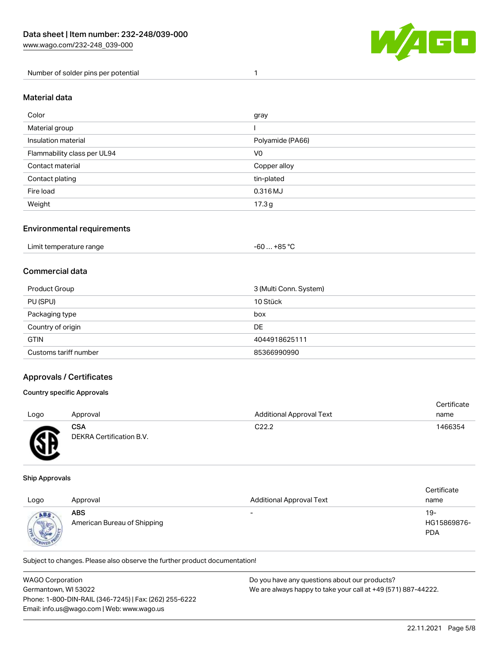

Number of solder pins per potential 1

#### Material data

| Color                       | gray             |
|-----------------------------|------------------|
| Material group              |                  |
| Insulation material         | Polyamide (PA66) |
| Flammability class per UL94 | V <sub>0</sub>   |
| Contact material            | Copper alloy     |
| Contact plating             | tin-plated       |
| Fire load                   | 0.316 MJ         |
| Weight                      | 17.3g            |

#### Environmental requirements

### Commercial data

| Product Group         | 3 (Multi Conn. System) |
|-----------------------|------------------------|
| PU (SPU)              | 10 Stück               |
| Packaging type        | box                    |
| Country of origin     | DE                     |
| <b>GTIN</b>           | 4044918625111          |
| Customs tariff number | 85366990990            |

#### Approvals / Certificates

#### Country specific Approvals

| Logo     | Approval                               | <b>Additional Approval Text</b> | Certificate<br>name |
|----------|----------------------------------------|---------------------------------|---------------------|
| <b>R</b> | <b>CSA</b><br>DEKRA Certification B.V. | C <sub>22.2</sub>               | 1466354             |

#### Ship Approvals

൰

| Logo | Approval                           | <b>Additional Approval Text</b> | Certificate<br>name              |
|------|------------------------------------|---------------------------------|----------------------------------|
| ABS  | ABS<br>American Bureau of Shipping | $\overline{\phantom{0}}$        | 19-<br>HG15869876-<br><b>PDA</b> |

Subject to changes. Please also observe the further product documentation!

| <b>WAGO Corporation</b>                                | Do you have any questions about our products?                 |
|--------------------------------------------------------|---------------------------------------------------------------|
| Germantown, WI 53022                                   | We are always happy to take your call at +49 (571) 887-44222. |
| Phone: 1-800-DIN-RAIL (346-7245)   Fax: (262) 255-6222 |                                                               |
| Email: info.us@wago.com   Web: www.wago.us             |                                                               |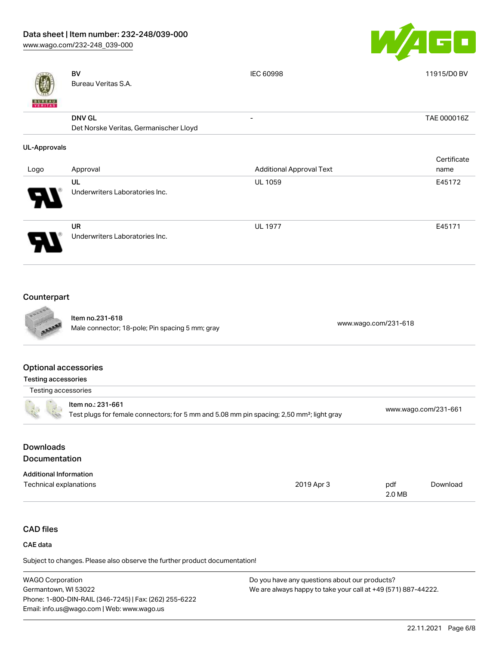[www.wago.com/232-248\\_039-000](http://www.wago.com/232-248_039-000)



|                                                   | <b>BV</b><br>Bureau Veritas S.A.                                                                                           | <b>IEC 60998</b>                | 11915/D0 BV          |
|---------------------------------------------------|----------------------------------------------------------------------------------------------------------------------------|---------------------------------|----------------------|
|                                                   | <b>DNV GL</b><br>Det Norske Veritas, Germanischer Lloyd                                                                    | $\overline{a}$                  | TAE 000016Z          |
| <b>UL-Approvals</b>                               |                                                                                                                            |                                 |                      |
| Logo                                              | Approval                                                                                                                   | <b>Additional Approval Text</b> | Certificate<br>name  |
|                                                   | UL<br>Underwriters Laboratories Inc.                                                                                       | UL 1059                         | E45172               |
|                                                   | <b>UR</b><br>Underwriters Laboratories Inc.                                                                                | <b>UL 1977</b>                  | E45171               |
| Counterpart                                       |                                                                                                                            |                                 |                      |
|                                                   | Item no.231-618<br>Male connector; 18-pole; Pin spacing 5 mm; gray                                                         | www.wago.com/231-618            |                      |
| <b>Optional accessories</b>                       |                                                                                                                            |                                 |                      |
| <b>Testing accessories</b><br>Testing accessories |                                                                                                                            |                                 |                      |
|                                                   | Item no.: 231-661<br>Test plugs for female connectors; for 5 mm and 5.08 mm pin spacing; 2,50 mm <sup>2</sup> ; light gray |                                 | www.wago.com/231-661 |

## Downloads Documentation

| <b>Additional Information</b> |            |        |          |
|-------------------------------|------------|--------|----------|
| Technical explanations        | 2019 Apr 3 | pdf    | Download |
|                               |            | 2.0 MB |          |

## CAD files

#### CAE data

Subject to changes. Please also observe the further product documentation!

| <b>WAGO Corporation</b>                                | Do you have any questions about our products?                 |
|--------------------------------------------------------|---------------------------------------------------------------|
| Germantown, WI 53022                                   | We are always happy to take your call at +49 (571) 887-44222. |
| Phone: 1-800-DIN-RAIL (346-7245)   Fax: (262) 255-6222 |                                                               |
| Email: info.us@wago.com   Web: www.wago.us             |                                                               |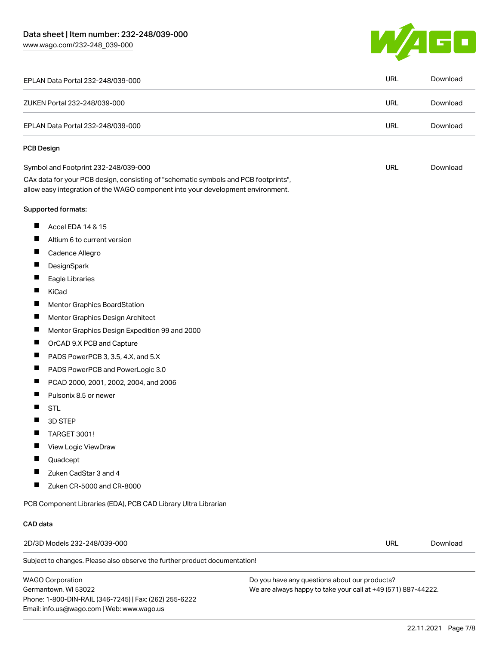[www.wago.com/232-248\\_039-000](http://www.wago.com/232-248_039-000)



| EPLAN Data Portal 232-248/039-000                                                                                                                                      | URL        | Download |
|------------------------------------------------------------------------------------------------------------------------------------------------------------------------|------------|----------|
| ZUKEN Portal 232-248/039-000                                                                                                                                           | <b>URL</b> | Download |
| EPLAN Data Portal 232-248/039-000                                                                                                                                      |            | Download |
| <b>PCB Design</b>                                                                                                                                                      |            |          |
| Symbol and Footprint 232-248/039-000                                                                                                                                   | URL        | Download |
| CAx data for your PCB design, consisting of "schematic symbols and PCB footprints",<br>allow easy integration of the WAGO component into your development environment. |            |          |
| Supported formats:                                                                                                                                                     |            |          |
| ш<br>Accel EDA 14 & 15                                                                                                                                                 |            |          |
| Ш<br>Altium 6 to current version                                                                                                                                       |            |          |
| Cadence Allegro                                                                                                                                                        |            |          |
| ш<br>DesignSpark                                                                                                                                                       |            |          |
| ш<br>Eagle Libraries                                                                                                                                                   |            |          |
| KiCad                                                                                                                                                                  |            |          |
| ш<br>Mentor Graphics BoardStation                                                                                                                                      |            |          |
| ш<br>Mentor Graphics Design Architect                                                                                                                                  |            |          |
| Mentor Graphics Design Expedition 99 and 2000                                                                                                                          |            |          |
| ш<br>OrCAD 9.X PCB and Capture                                                                                                                                         |            |          |
| ш<br>PADS PowerPCB 3, 3.5, 4.X, and 5.X                                                                                                                                |            |          |
| H<br>PADS PowerPCB and PowerLogic 3.0                                                                                                                                  |            |          |
| ш<br>PCAD 2000, 2001, 2002, 2004, and 2006                                                                                                                             |            |          |
| Ш<br>Pulsonix 8.5 or newer                                                                                                                                             |            |          |
| <b>STL</b>                                                                                                                                                             |            |          |
| 3D STEP                                                                                                                                                                |            |          |
| <b>TARGET 3001!</b>                                                                                                                                                    |            |          |
| П<br>View Logic ViewDraw                                                                                                                                               |            |          |
| Quadcept                                                                                                                                                               |            |          |
| Zuken CadStar 3 and 4                                                                                                                                                  |            |          |
| ш<br>Zuken CR-5000 and CR-8000                                                                                                                                         |            |          |
| PCB Component Libraries (EDA), PCB CAD Library Ultra Librarian                                                                                                         |            |          |
| CAD data                                                                                                                                                               |            |          |
| 2D/3D Models 232-248/039-000                                                                                                                                           | <b>URL</b> | Download |
| Subject to changes. Please also observe the further product documentation!                                                                                             |            |          |

WAGO Corporation Germantown, WI 53022 Phone: 1-800-DIN-RAIL (346-7245) | Fax: (262) 255-6222 Email: info.us@wago.com | Web: www.wago.us